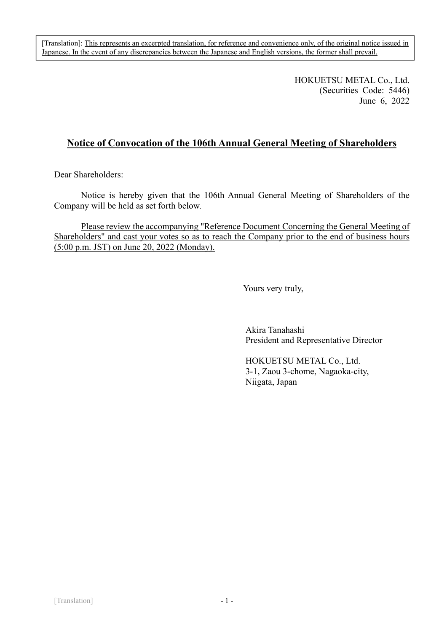[Translation]: This represents an excerpted translation, for reference and convenience only, of the original notice issued in Japanese. In the event of any discrepancies between the Japanese and English versions, the former shall prevail.

> HOKUETSU METAL Co., Ltd. (Securities Code: 5446) June 6, 2022

# **Notice of Convocation of the 106th Annual General Meeting of Shareholders**

Dear Shareholders:

Notice is hereby given that the 106th Annual General Meeting of Shareholders of the Company will be held as set forth below.

Please review the accompanying "Reference Document Concerning the General Meeting of Shareholders" and cast your votes so as to reach the Company prior to the end of business hours (5:00 p.m. JST) on June 20, 2022 (Monday).

Yours very truly,

Akira Tanahashi President and Representative Director

HOKUETSU METAL Co., Ltd. 3-1, Zaou 3-chome, Nagaoka-city, Niigata, Japan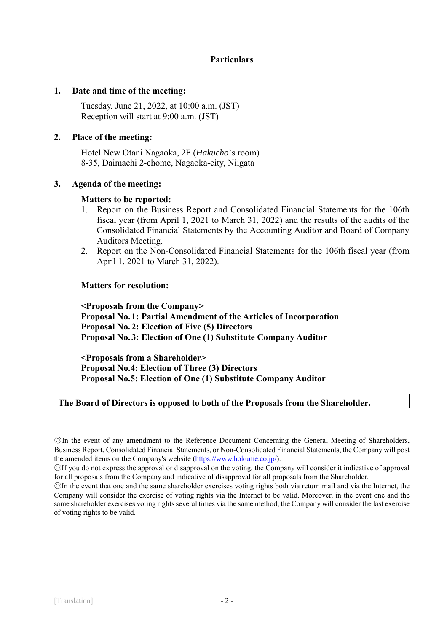# **Particulars**

# **1. Date and time of the meeting:**

Tuesday, June 21, 2022, at 10:00 a.m. (JST) Reception will start at 9:00 a.m. (JST)

# **2. Place of the meeting:**

Hotel New Otani Nagaoka, 2F (*Hakucho*'s room) 8-35, Daimachi 2-chome, Nagaoka-city, Niigata

### **3. Agenda of the meeting:**

### **Matters to be reported:**

- 1. Report on the Business Report and Consolidated Financial Statements for the 106th fiscal year (from April 1, 2021 to March 31, 2022) and the results of the audits of the Consolidated Financial Statements by the Accounting Auditor and Board of Company Auditors Meeting.
- 2. Report on the Non-Consolidated Financial Statements for the 106th fiscal year (from April 1, 2021 to March 31, 2022).

### **Matters for resolution:**

**<Proposals from the Company> Proposal No. 1: Partial Amendment of the Articles of Incorporation Proposal No. 2: Election of Five (5) Directors Proposal No. 3: Election of One (1) Substitute Company Auditor** 

**<Proposals from a Shareholder> Proposal No.4: Election of Three (3) Directors Proposal No.5: Election of One (1) Substitute Company Auditor** 

# **The Board of Directors is opposed to both of the Proposals from the Shareholder.**

◎In the event of any amendment to the Reference Document Concerning the General Meeting of Shareholders, Business Report, Consolidated Financial Statements, or Non-Consolidated Financial Statements, the Company will post the amended items on the Company's website (https://www.hokume.co.jp/).

◎If you do not express the approval or disapproval on the voting, the Company will consider it indicative of approval for all proposals from the Company and indicative of disapproval for all proposals from the Shareholder.

◎In the event that one and the same shareholder exercises voting rights both via return mail and via the Internet, the Company will consider the exercise of voting rights via the Internet to be valid. Moreover, in the event one and the same shareholder exercises voting rights several times via the same method, the Company will consider the last exercise of voting rights to be valid.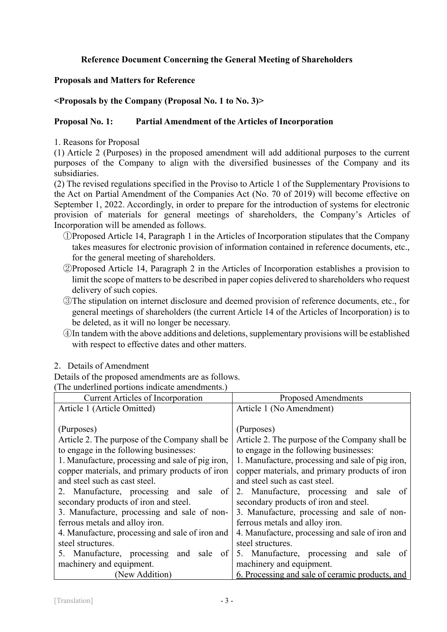# **Reference Document Concerning the General Meeting of Shareholders**

# **Proposals and Matters for Reference**

# **<Proposals by the Company (Proposal No. 1 to No. 3)>**

# **Proposal No. 1: Partial Amendment of the Articles of Incorporation**

1. Reasons for Proposal

(1) Article 2 (Purposes) in the proposed amendment will add additional purposes to the current purposes of the Company to align with the diversified businesses of the Company and its subsidiaries.

(2) The revised regulations specified in the Proviso to Article 1 of the Supplementary Provisions to the Act on Partial Amendment of the Companies Act (No. 70 of 2019) will become effective on September 1, 2022. Accordingly, in order to prepare for the introduction of systems for electronic provision of materials for general meetings of shareholders, the Company's Articles of Incorporation will be amended as follows.

- ①Proposed Article 14, Paragraph 1 in the Articles of Incorporation stipulates that the Company takes measures for electronic provision of information contained in reference documents, etc., for the general meeting of shareholders.
- ②Proposed Article 14, Paragraph 2 in the Articles of Incorporation establishes a provision to limit the scope of matters to be described in paper copies delivered to shareholders who request delivery of such copies.
- ③The stipulation on internet disclosure and deemed provision of reference documents, etc., for general meetings of shareholders (the current Article 14 of the Articles of Incorporation) is to be deleted, as it will no longer be necessary.
- ④In tandem with the above additions and deletions, supplementary provisions will be established with respect to effective dates and other matters.

# 2.Details of Amendment

Details of the proposed amendments are as follows.

(The underlined portions indicate amendments.)

| <b>Current Articles of Incorporation</b>         | <b>Proposed Amendments</b>                       |  |  |
|--------------------------------------------------|--------------------------------------------------|--|--|
| Article 1 (Article Omitted)                      | Article 1 (No Amendment)                         |  |  |
|                                                  |                                                  |  |  |
| (Purposes)                                       | (Purposes)                                       |  |  |
| Article 2. The purpose of the Company shall be   | Article 2. The purpose of the Company shall be   |  |  |
| to engage in the following businesses:           | to engage in the following businesses:           |  |  |
| 1. Manufacture, processing and sale of pig iron, | 1. Manufacture, processing and sale of pig iron, |  |  |
| copper materials, and primary products of iron   | copper materials, and primary products of iron   |  |  |
| and steel such as cast steel.                    | and steel such as cast steel.                    |  |  |
| 2. Manufacture, processing and sale of           | 2. Manufacture, processing and sale of           |  |  |
| secondary products of iron and steel.            | secondary products of iron and steel.            |  |  |
| 3. Manufacture, processing and sale of non-      | 3. Manufacture, processing and sale of non-      |  |  |
| ferrous metals and alloy iron.                   | ferrous metals and alloy iron.                   |  |  |
| 4. Manufacture, processing and sale of iron and  | 4. Manufacture, processing and sale of iron and  |  |  |
| steel structures.                                | steel structures.                                |  |  |
| 5. Manufacture, processing<br>and<br>sale of     | 5. Manufacture, processing and sale of           |  |  |
| machinery and equipment.                         | machinery and equipment.                         |  |  |
| (New Addition)                                   | 6. Processing and sale of ceramic products, and  |  |  |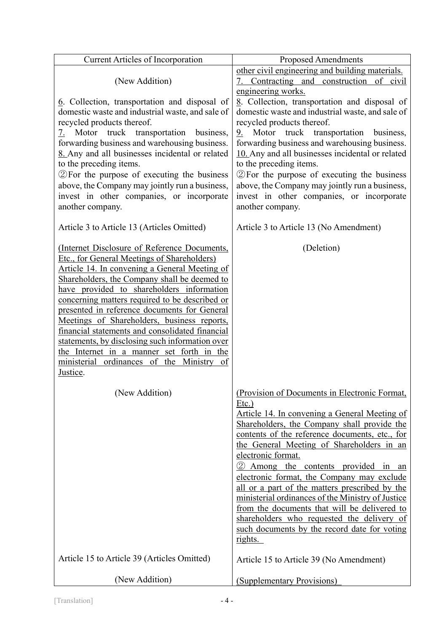| <b>Current Articles of Incorporation</b>                                                                                                                                                                                                                                                                                                                                                                                                                                                                                                                                                               | <b>Proposed Amendments</b>                                                                                                                                                                                                                                                                                                                                                                                                                                                                                                                                                                                                       |
|--------------------------------------------------------------------------------------------------------------------------------------------------------------------------------------------------------------------------------------------------------------------------------------------------------------------------------------------------------------------------------------------------------------------------------------------------------------------------------------------------------------------------------------------------------------------------------------------------------|----------------------------------------------------------------------------------------------------------------------------------------------------------------------------------------------------------------------------------------------------------------------------------------------------------------------------------------------------------------------------------------------------------------------------------------------------------------------------------------------------------------------------------------------------------------------------------------------------------------------------------|
| (New Addition)                                                                                                                                                                                                                                                                                                                                                                                                                                                                                                                                                                                         | other civil engineering and building materials.<br>7. Contracting and construction of civil                                                                                                                                                                                                                                                                                                                                                                                                                                                                                                                                      |
| $6.$ Collection, transportation and disposal of<br>domestic waste and industrial waste, and sale of<br>recycled products thereof.<br>Motor truck transportation<br>business,<br>7.<br>forwarding business and warehousing business.<br>8. Any and all businesses incidental or related<br>to the preceding items.<br>2) For the purpose of executing the business<br>above, the Company may jointly run a business,<br>invest in other companies, or incorporate<br>another company.                                                                                                                   | engineering works.<br>8. Collection, transportation and disposal of<br>domestic waste and industrial waste, and sale of<br>recycled products thereof.<br>9. Motor truck transportation business,<br>forwarding business and warehousing business.<br>10. Any and all businesses incidental or related<br>to the preceding items.<br>2) For the purpose of executing the business<br>above, the Company may jointly run a business,<br>invest in other companies, or incorporate<br>another company.                                                                                                                              |
| Article 3 to Article 13 (Articles Omitted)                                                                                                                                                                                                                                                                                                                                                                                                                                                                                                                                                             | Article 3 to Article 13 (No Amendment)                                                                                                                                                                                                                                                                                                                                                                                                                                                                                                                                                                                           |
| (Internet Disclosure of Reference Documents,<br>Etc., for General Meetings of Shareholders)<br>Article 14. In convening a General Meeting of<br>Shareholders, the Company shall be deemed to<br>have provided to shareholders information<br>concerning matters required to be described or<br>presented in reference documents for General<br>Meetings of Shareholders, business reports,<br>financial statements and consolidated financial<br>statements, by disclosing such information over<br>the Internet in a manner set forth in the<br>ministerial ordinances of the Ministry of<br>Justice. | (Deletion)                                                                                                                                                                                                                                                                                                                                                                                                                                                                                                                                                                                                                       |
| (New Addition)                                                                                                                                                                                                                                                                                                                                                                                                                                                                                                                                                                                         | (Provision of Documents in Electronic Format,<br>Etc.)<br>Article 14. In convening a General Meeting of<br>Shareholders, the Company shall provide the<br>contents of the reference documents, etc., for<br>the General Meeting of Shareholders in an<br>electronic format.<br>2 Among the contents provided in an<br>electronic format, the Company may exclude<br>all or a part of the matters prescribed by the<br>ministerial ordinances of the Ministry of Justice<br>from the documents that will be delivered to<br>shareholders who requested the delivery of<br>such documents by the record date for voting<br>rights. |
| Article 15 to Article 39 (Articles Omitted)                                                                                                                                                                                                                                                                                                                                                                                                                                                                                                                                                            | Article 15 to Article 39 (No Amendment)                                                                                                                                                                                                                                                                                                                                                                                                                                                                                                                                                                                          |
| (New Addition)                                                                                                                                                                                                                                                                                                                                                                                                                                                                                                                                                                                         | (Supplementary Provisions)                                                                                                                                                                                                                                                                                                                                                                                                                                                                                                                                                                                                       |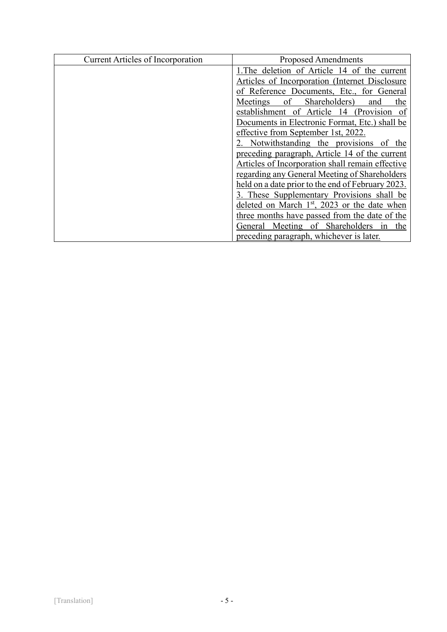| <b>Current Articles of Incorporation</b> | <b>Proposed Amendments</b>                          |  |  |
|------------------------------------------|-----------------------------------------------------|--|--|
|                                          | 1. The deletion of Article 14 of the current        |  |  |
|                                          | Articles of Incorporation (Internet Disclosure      |  |  |
|                                          | of Reference Documents, Etc., for General           |  |  |
|                                          | $\Omega$<br>Shareholders)<br>the<br>Meetings<br>and |  |  |
|                                          | establishment of Article 14 (Provision<br>οf        |  |  |
|                                          | Documents in Electronic Format, Etc.) shall be      |  |  |
|                                          | effective from September 1st, 2022.                 |  |  |
|                                          | 2. Notwithstanding the provisions of the            |  |  |
|                                          | preceding paragraph, Article 14 of the current      |  |  |
|                                          | Articles of Incorporation shall remain effective    |  |  |
|                                          | regarding any General Meeting of Shareholders       |  |  |
|                                          | held on a date prior to the end of February 2023.   |  |  |
|                                          | 3. These Supplementary Provisions shall be          |  |  |
|                                          | deleted on March 1st, 2023 or the date when         |  |  |
|                                          | three months have passed from the date of the       |  |  |
|                                          | General Meeting of Shareholders in<br>the           |  |  |
|                                          | preceding paragraph, whichever is later.            |  |  |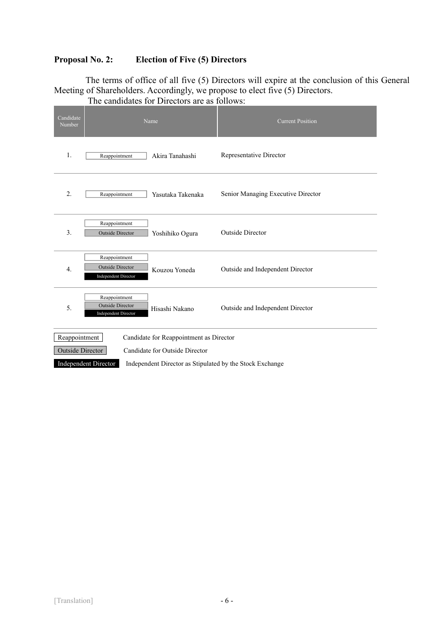# **Proposal No. 2: Election of Five (5) Directors**

The terms of office of all five (5) Directors will expire at the conclusion of this General Meeting of Shareholders. Accordingly, we propose to elect five (5) Directors.

|                         | The candidates for Directors are as follows.                                              |                                    |  |  |
|-------------------------|-------------------------------------------------------------------------------------------|------------------------------------|--|--|
| Candidate<br>Number     | Name                                                                                      | <b>Current Position</b>            |  |  |
| 1.                      | Akira Tanahashi<br>Reappointment                                                          | Representative Director            |  |  |
| 2.                      | Reappointment<br>Yasutaka Takenaka                                                        | Senior Managing Executive Director |  |  |
| 3.                      | Reappointment<br><b>Outside Director</b><br>Yoshihiko Ogura                               | <b>Outside Director</b>            |  |  |
| 4.                      | Reappointment<br><b>Outside Director</b><br>Kouzou Yoneda<br><b>Independent Director</b>  | Outside and Independent Director   |  |  |
| 5.                      | Reappointment<br><b>Outside Director</b><br>Hisashi Nakano<br><b>Independent Director</b> | Outside and Independent Director   |  |  |
| Reappointment           | Candidate for Reappointment as Director                                                   |                                    |  |  |
| <b>Outside Director</b> | Candidate for Outside Director                                                            |                                    |  |  |
|                         | Independent Director<br>Independent Director as Stipulated by the Stock Exchange          |                                    |  |  |

The candidates for Directors are as follows: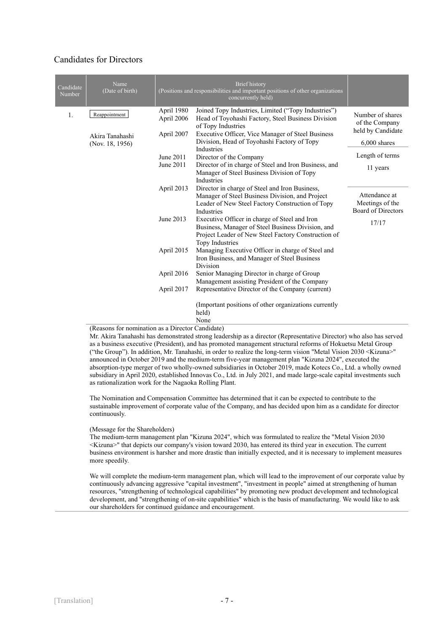| <b>Candidates for Directors</b> |  |
|---------------------------------|--|
|---------------------------------|--|

| Candidate<br>Number | Name<br>(Date of birth)            |                                        | Brief history<br>(Positions and responsibilities and important positions of other organizations<br>concurrently held)                                                                |                                                         |
|---------------------|------------------------------------|----------------------------------------|--------------------------------------------------------------------------------------------------------------------------------------------------------------------------------------|---------------------------------------------------------|
| 1.                  | Reappointment                      | April 1980<br>April 2006<br>April 2007 | Joined Topy Industries, Limited ("Topy Industries")<br>Head of Toyohashi Factory, Steel Business Division<br>of Topy Industries<br>Executive Officer, Vice Manager of Steel Business | Number of shares<br>of the Company<br>held by Candidate |
|                     | Akira Tanahashi<br>(Nov. 18, 1956) |                                        | Division, Head of Toyohashi Factory of Topy<br><b>Industries</b>                                                                                                                     | $6,000$ shares                                          |
|                     |                                    | June 2011                              | Director of the Company                                                                                                                                                              | Length of terms                                         |
|                     |                                    | June 2011                              | Director of in charge of Steel and Iron Business, and<br>Manager of Steel Business Division of Topy<br><b>Industries</b>                                                             | 11 years                                                |
|                     |                                    | April 2013                             | Director in charge of Steel and Iron Business,<br>Manager of Steel Business Division, and Project<br>Leader of New Steel Factory Construction of Topy<br><b>Industries</b>           | Attendance at<br>Meetings of the<br>Board of Directors  |
|                     |                                    | June 2013                              | Executive Officer in charge of Steel and Iron<br>Business, Manager of Steel Business Division, and<br>Project Leader of New Steel Factory Construction of<br>Topy Industries         | 17/17                                                   |
|                     |                                    | April 2015                             | Managing Executive Officer in charge of Steel and<br>Iron Business, and Manager of Steel Business<br>Division                                                                        |                                                         |
|                     |                                    | April 2016                             | Senior Managing Director in charge of Group<br>Management assisting President of the Company                                                                                         |                                                         |
|                     |                                    | April 2017                             | Representative Director of the Company (current)                                                                                                                                     |                                                         |
|                     |                                    |                                        | (Important positions of other organizations currently<br>held)                                                                                                                       |                                                         |
|                     |                                    |                                        | None                                                                                                                                                                                 |                                                         |

(Reasons for nomination as a Director Candidate)

Mr. Akira Tanahashi has demonstrated strong leadership as a director (Representative Director) who also has served as a business executive (President), and has promoted management structural reforms of Hokuetsu Metal Group ("the Group"). In addition, Mr. Tanahashi, in order to realize the long-term vision "Metal Vision 2030 <Kizuna>" announced in October 2019 and the medium-term five-year management plan "Kizuna 2024", executed the absorption-type merger of two wholly-owned subsidiaries in October 2019, made Kotecs Co., Ltd. a wholly owned subsidiary in April 2020, established Innovas Co., Ltd. in July 2021, and made large-scale capital investments such as rationalization work for the Nagaoka Rolling Plant.

The Nomination and Compensation Committee has determined that it can be expected to contribute to the sustainable improvement of corporate value of the Company, and has decided upon him as a candidate for director continuously.

#### (Message for the Shareholders)

The medium-term management plan "Kizuna 2024", which was formulated to realize the "Metal Vision 2030 <Kizuna>" that depicts our company's vision toward 2030, has entered its third year in execution. The current business environment is harsher and more drastic than initially expected, and it is necessary to implement measures more speedily.

We will complete the medium-term management plan, which will lead to the improvement of our corporate value by continuously advancing aggressive "capital investment", "investment in people" aimed at strengthening of human resources, "strengthening of technological capabilities" by promoting new product development and technological development, and "strengthening of on-site capabilities" which is the basis of manufacturing. We would like to ask our shareholders for continued guidance and encouragement.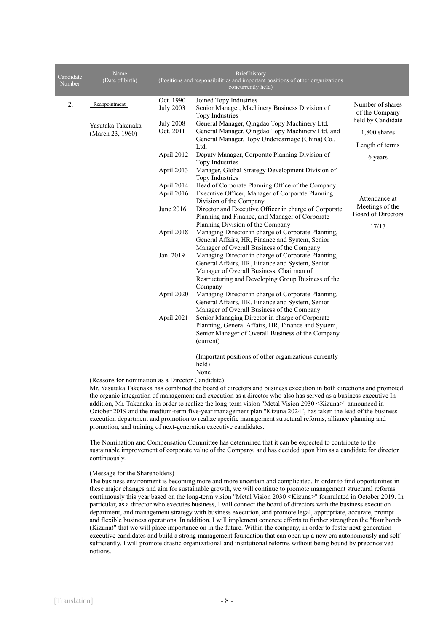| Candidate<br>Number | Name<br>(Date of birth)               |                                                   | <b>Brief</b> history<br>(Positions and responsibilities and important positions of other organizations<br>concurrently held)                                                                                       |                                                         |
|---------------------|---------------------------------------|---------------------------------------------------|--------------------------------------------------------------------------------------------------------------------------------------------------------------------------------------------------------------------|---------------------------------------------------------|
| 2.                  | Reappointment                         | Oct. 1990<br><b>July 2003</b><br><b>July 2008</b> | Joined Topy Industries<br>Senior Manager, Machinery Business Division of<br>Topy Industries<br>General Manager, Qingdao Topy Machinery Ltd.                                                                        | Number of shares<br>of the Company<br>held by Candidate |
|                     | Yasutaka Takenaka<br>(March 23, 1960) | Oct. 2011                                         | General Manager, Qingdao Topy Machinery Ltd. and                                                                                                                                                                   | 1,800 shares                                            |
|                     |                                       |                                                   | General Manager, Topy Undercarriage (China) Co.,<br>Ltd.                                                                                                                                                           | Length of terms                                         |
|                     |                                       | April 2012                                        | Deputy Manager, Corporate Planning Division of<br>Topy Industries                                                                                                                                                  | 6 years                                                 |
|                     |                                       | April 2013                                        | Manager, Global Strategy Development Division of<br>Topy Industries                                                                                                                                                |                                                         |
|                     |                                       | April 2014                                        | Head of Corporate Planning Office of the Company                                                                                                                                                                   |                                                         |
|                     |                                       | April 2016                                        | Executive Officer, Manager of Corporate Planning<br>Division of the Company                                                                                                                                        | Attendance at                                           |
|                     |                                       | June 2016                                         | Director and Executive Officer in charge of Corporate<br>Planning and Finance, and Manager of Corporate                                                                                                            | Meetings of the<br>Board of Directors                   |
|                     |                                       |                                                   | Planning Division of the Company                                                                                                                                                                                   | 17/17                                                   |
|                     |                                       | April 2018                                        | Managing Director in charge of Corporate Planning,                                                                                                                                                                 |                                                         |
|                     |                                       |                                                   | General Affairs, HR, Finance and System, Senior<br>Manager of Overall Business of the Company                                                                                                                      |                                                         |
|                     |                                       | Jan. 2019                                         | Managing Director in charge of Corporate Planning,<br>General Affairs, HR, Finance and System, Senior<br>Manager of Overall Business, Chairman of<br>Restructuring and Developing Group Business of the<br>Company |                                                         |
|                     |                                       | April 2020                                        | Managing Director in charge of Corporate Planning,<br>General Affairs, HR, Finance and System, Senior<br>Manager of Overall Business of the Company                                                                |                                                         |
|                     |                                       | April 2021                                        | Senior Managing Director in charge of Corporate<br>Planning, General Affairs, HR, Finance and System,<br>Senior Manager of Overall Business of the Company<br>(current)                                            |                                                         |
|                     |                                       |                                                   | (Important positions of other organizations currently<br>held)<br>None                                                                                                                                             |                                                         |

(Reasons for nomination as a Director Candidate)

Mr. Yasutaka Takenaka has combined the board of directors and business execution in both directions and promoted the organic integration of management and execution as a director who also has served as a business executive In addition, Mr. Takenaka, in order to realize the long-term vision "Metal Vision 2030 <Kizuna>" announced in October 2019 and the medium-term five-year management plan "Kizuna 2024", has taken the lead of the business execution department and promotion to realize specific management structural reforms, alliance planning and promotion, and training of next-generation executive candidates.

The Nomination and Compensation Committee has determined that it can be expected to contribute to the sustainable improvement of corporate value of the Company, and has decided upon him as a candidate for director continuously.

#### (Message for the Shareholders)

The business environment is becoming more and more uncertain and complicated. In order to find opportunities in these major changes and aim for sustainable growth, we will continue to promote management structural reforms continuously this year based on the long-term vision "Metal Vision 2030 <Kizuna>" formulated in October 2019. In particular, as a director who executes business, I will connect the board of directors with the business execution department, and management strategy with business execution, and promote legal, appropriate, accurate, prompt and flexible business operations. In addition, I will implement concrete efforts to further strengthen the "four bonds (Kizuna)" that we will place importance on in the future. Within the company, in order to foster next-generation executive candidates and build a strong management foundation that can open up a new era autonomously and selfsufficiently, I will promote drastic organizational and institutional reforms without being bound by preconceived notions.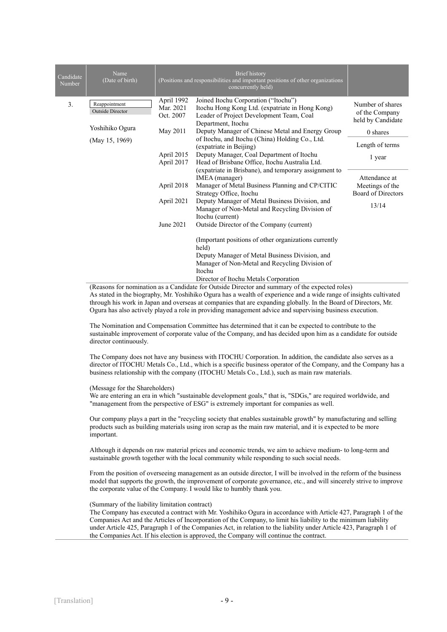| Candidate<br>Number | Name<br>(Date of birth)                                     |                                      | <b>Brief</b> history<br>(Positions and responsibilities and important positions of other organizations<br>concurrently held)                              |                                                         |
|---------------------|-------------------------------------------------------------|--------------------------------------|-----------------------------------------------------------------------------------------------------------------------------------------------------------|---------------------------------------------------------|
| 3.                  | Reappointment<br><b>Outside Director</b><br>Yoshihiko Ogura | April 1992<br>Mar. 2021<br>Oct. 2007 | Joined Itochu Corporation ("Itochu")<br>Itochu Hong Kong Ltd. (expatriate in Hong Kong)<br>Leader of Project Development Team, Coal<br>Department, Itochu | Number of shares<br>of the Company<br>held by Candidate |
|                     |                                                             | May 2011                             | Deputy Manager of Chinese Metal and Energy Group                                                                                                          | 0 shares                                                |
|                     | (May 15, 1969)                                              |                                      | of Itochu, and Itochu (China) Holding Co., Ltd.<br>(expatriate in Beijing)                                                                                | Length of terms                                         |
|                     |                                                             | April 2015<br>April 2017             | Deputy Manager, Coal Department of Itochu<br>Head of Brisbane Office, Itochu Australia Ltd.                                                               | 1 year                                                  |
|                     |                                                             | April 2018                           | (expatriate in Brisbane), and temporary assignment to<br>IMEA (manager)<br>Manager of Metal Business Planning and CP/CITIC<br>Strategy Office, Itochu     | Attendance at<br>Meetings of the<br>Board of Directors  |
|                     |                                                             | April 2021                           | Deputy Manager of Metal Business Division, and<br>Manager of Non-Metal and Recycling Division of<br>Itochu (current)                                      | 13/14                                                   |
|                     |                                                             | June 2021                            | Outside Director of the Company (current)                                                                                                                 |                                                         |
|                     |                                                             |                                      | (Important positions of other organizations currently<br>held)                                                                                            |                                                         |
|                     |                                                             |                                      | Deputy Manager of Metal Business Division, and<br>Manager of Non-Metal and Recycling Division of<br>Itochu                                                |                                                         |
|                     |                                                             |                                      | Director of Itochu Metals Corporation                                                                                                                     |                                                         |

(Reasons for nomination as a Candidate for Outside Director and summary of the expected roles) As stated in the biography, Mr. Yoshihiko Ogura has a wealth of experience and a wide range of insights cultivated through his work in Japan and overseas at companies that are expanding globally. In the Board of Directors, Mr. Ogura has also actively played a role in providing management advice and supervising business execution.

The Nomination and Compensation Committee has determined that it can be expected to contribute to the sustainable improvement of corporate value of the Company, and has decided upon him as a candidate for outside director continuously.

The Company does not have any business with ITOCHU Corporation. In addition, the candidate also serves as a director of ITOCHU Metals Co., Ltd., which is a specific business operator of the Company, and the Company has a business relationship with the company (ITOCHU Metals Co., Ltd.), such as main raw materials.

#### (Message for the Shareholders)

We are entering an era in which "sustainable development goals," that is, "SDGs," are required worldwide, and "management from the perspective of ESG" is extremely important for companies as well.

Our company plays a part in the "recycling society that enables sustainable growth" by manufacturing and selling products such as building materials using iron scrap as the main raw material, and it is expected to be more important.

Although it depends on raw material prices and economic trends, we aim to achieve medium- to long-term and sustainable growth together with the local community while responding to such social needs.

From the position of overseeing management as an outside director, I will be involved in the reform of the business model that supports the growth, the improvement of corporate governance, etc., and will sincerely strive to improve the corporate value of the Company. I would like to humbly thank you.

### (Summary of the liability limitation contract)

The Company has executed a contract with Mr. Yoshihiko Ogura in accordance with Article 427, Paragraph 1 of the Companies Act and the Articles of Incorporation of the Company, to limit his liability to the minimum liability under Article 425, Paragraph 1 of the Companies Act, in relation to the liability under Article 423, Paragraph 1 of the Companies Act. If his election is approved, the Company will continue the contract.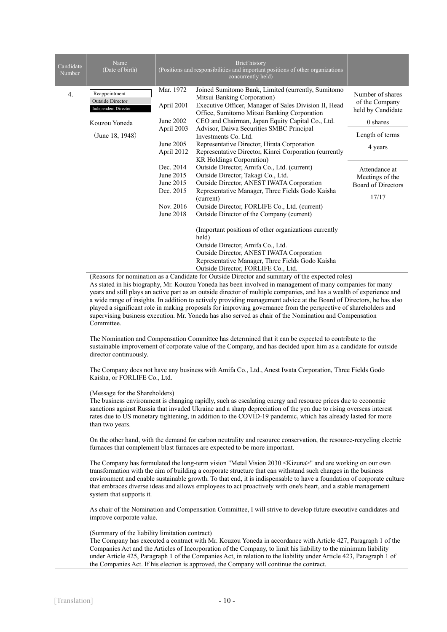| Candidate<br>Number | Name<br>(Date of birth)                                                                  |                                                                            | <b>Brief</b> history<br>(Positions and responsibilities and important positions of other organizations<br>concurrently held)                                                                                                                                                                  |                                                                        |
|---------------------|------------------------------------------------------------------------------------------|----------------------------------------------------------------------------|-----------------------------------------------------------------------------------------------------------------------------------------------------------------------------------------------------------------------------------------------------------------------------------------------|------------------------------------------------------------------------|
| $\overline{4}$ .    | Reappointment<br><b>Outside Director</b><br><b>Independent Director</b><br>Kouzou Yoneda | Mar. 1972<br>April 2001<br>June 2002                                       | Joined Sumitomo Bank, Limited (currently, Sumitomo<br>Mitsui Banking Corporation)<br>Executive Officer, Manager of Sales Division II, Head<br>Office, Sumitomo Mitsui Banking Corporation<br>CEO and Chairman, Japan Equity Capital Co., Ltd.                                                 | Number of shares<br>of the Company<br>held by Candidate<br>0 shares    |
| (June 18, 1948)     |                                                                                          | April 2003<br>June 2005<br>April 2012                                      | Advisor, Daiwa Securities SMBC Principal<br>Investments Co. Ltd.<br>Representative Director, Hirata Corporation<br>Representative Director, Kinrei Corporation (currently<br><b>KR Holdings Corporation</b> )                                                                                 | Length of terms<br>4 years                                             |
|                     |                                                                                          | Dec. 2014<br>June 2015<br>June 2015<br>Dec. 2015<br>Nov. 2016<br>June 2018 | Outside Director, Amifa Co., Ltd. (current)<br>Outside Director, Takagi Co., Ltd.<br>Outside Director, ANEST IWATA Corporation<br>Representative Manager, Three Fields Godo Kaisha<br>(current)<br>Outside Director, FORLIFE Co., Ltd. (current)<br>Outside Director of the Company (current) | Attendance at<br>Meetings of the<br><b>Board of Directors</b><br>17/17 |
|                     |                                                                                          |                                                                            | (Important positions of other organizations currently<br>held)<br>Outside Director, Amifa Co., Ltd.<br>Outside Director, ANEST IWATA Corporation<br>Representative Manager, Three Fields Godo Kaisha<br>Outside Director, FORLIFE Co., Ltd.                                                   |                                                                        |

(Reasons for nomination as a Candidate for Outside Director and summary of the expected roles) As stated in his biography, Mr. Kouzou Yoneda has been involved in management of many companies for many years and still plays an active part as an outside director of multiple companies, and has a wealth of experience and a wide range of insights. In addition to actively providing management advice at the Board of Directors, he has also played a significant role in making proposals for improving governance from the perspective of shareholders and supervising business execution. Mr. Yoneda has also served as chair of the Nomination and Compensation Committee.

The Nomination and Compensation Committee has determined that it can be expected to contribute to the sustainable improvement of corporate value of the Company, and has decided upon him as a candidate for outside director continuously.

The Company does not have any business with Amifa Co., Ltd., Anest Iwata Corporation, Three Fields Godo Kaisha, or FORLIFE Co., Ltd.

#### (Message for the Shareholders)

The business environment is changing rapidly, such as escalating energy and resource prices due to economic sanctions against Russia that invaded Ukraine and a sharp depreciation of the yen due to rising overseas interest rates due to US monetary tightening, in addition to the COVID-19 pandemic, which has already lasted for more than two years.

On the other hand, with the demand for carbon neutrality and resource conservation, the resource-recycling electric furnaces that complement blast furnaces are expected to be more important.

The Company has formulated the long-term vision "Metal Vision 2030 <Kizuna>" and are working on our own transformation with the aim of building a corporate structure that can withstand such changes in the business environment and enable sustainable growth. To that end, it is indispensable to have a foundation of corporate culture that embraces diverse ideas and allows employees to act proactively with one's heart, and a stable management system that supports it.

As chair of the Nomination and Compensation Committee, I will strive to develop future executive candidates and improve corporate value.

#### (Summary of the liability limitation contract)

The Company has executed a contract with Mr. Kouzou Yoneda in accordance with Article 427, Paragraph 1 of the Companies Act and the Articles of Incorporation of the Company, to limit his liability to the minimum liability under Article 425, Paragraph 1 of the Companies Act, in relation to the liability under Article 423, Paragraph 1 of the Companies Act. If his election is approved, the Company will continue the contract.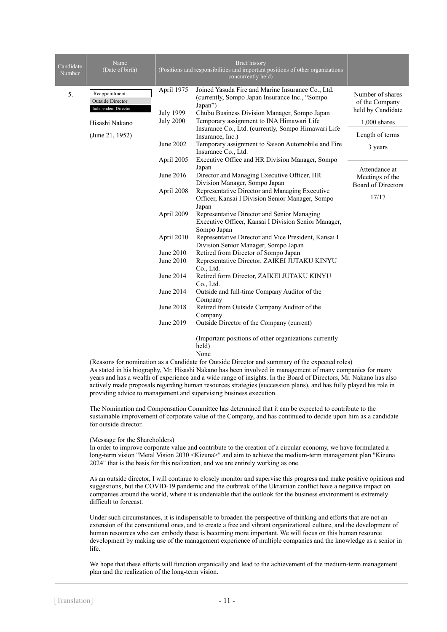| Candidate<br>Number | Name<br>(Date of birth)                                                 |                                                    | <b>Brief</b> history<br>(Positions and responsibilities and important positions of other organizations<br>concurrently held)                                                                                |                                                                           |
|---------------------|-------------------------------------------------------------------------|----------------------------------------------------|-------------------------------------------------------------------------------------------------------------------------------------------------------------------------------------------------------------|---------------------------------------------------------------------------|
| 5.                  | Reappointment<br><b>Outside Director</b><br><b>Independent Director</b> | April 1975<br><b>July 1999</b><br><b>July 2000</b> | Joined Yasuda Fire and Marine Insurance Co., Ltd.<br>(currently, Sompo Japan Insurance Inc., "Sompo<br>Japan")<br>Chubu Business Division Manager, Sompo Japan<br>Temporary assignment to INA Himawari Life | Number of shares<br>of the Company<br>held by Candidate<br>$1,000$ shares |
|                     | Hisashi Nakano<br>(June 21, 1952)                                       | June 2002                                          | Insurance Co., Ltd. (currently, Sompo Himawari Life<br>Insurance, Inc.)<br>Temporary assignment to Saison Automobile and Fire                                                                               | Length of terms                                                           |
|                     |                                                                         | April 2005                                         | Insurance Co., Ltd.<br>Executive Office and HR Division Manager, Sompo<br>Japan                                                                                                                             | 3 years<br>Attendance at                                                  |
|                     |                                                                         | June 2016<br>April 2008                            | Director and Managing Executive Officer, HR<br>Division Manager, Sompo Japan<br>Representative Director and Managing Executive                                                                              | Meetings of the<br><b>Board of Directors</b>                              |
|                     |                                                                         |                                                    | Officer, Kansai I Division Senior Manager, Sompo<br>Japan                                                                                                                                                   | 17/17                                                                     |
|                     |                                                                         | April 2009                                         | Representative Director and Senior Managing<br>Executive Officer, Kansai I Division Senior Manager,<br>Sompo Japan                                                                                          |                                                                           |
|                     |                                                                         | April 2010                                         | Representative Director and Vice President, Kansai I<br>Division Senior Manager, Sompo Japan                                                                                                                |                                                                           |
|                     |                                                                         | June 2010<br>June 2010                             | Retired from Director of Sompo Japan<br>Representative Director, ZAIKEI JUTAKU KINYU<br>Co., Ltd.                                                                                                           |                                                                           |
|                     |                                                                         | June 2014                                          | Retired form Director, ZAIKEI JUTAKU KINYU<br>Co., Ltd.                                                                                                                                                     |                                                                           |
|                     |                                                                         | June 2014                                          | Outside and full-time Company Auditor of the<br>Company                                                                                                                                                     |                                                                           |
|                     |                                                                         | June 2018                                          | Retired from Outside Company Auditor of the<br>Company                                                                                                                                                      |                                                                           |
|                     |                                                                         | June 2019                                          | Outside Director of the Company (current)<br>(Important positions of other organizations currently                                                                                                          |                                                                           |
|                     |                                                                         |                                                    | held)<br>None                                                                                                                                                                                               |                                                                           |

(Reasons for nomination as a Candidate for Outside Director and summary of the expected roles) As stated in his biography, Mr. Hisashi Nakano has been involved in management of many companies for many years and has a wealth of experience and a wide range of insights. In the Board of Directors, Mr. Nakano has also actively made proposals regarding human resources strategies (succession plans), and has fully played his role in providing advice to management and supervising business execution.

The Nomination and Compensation Committee has determined that it can be expected to contribute to the sustainable improvement of corporate value of the Company, and has continued to decide upon him as a candidate for outside director.

### (Message for the Shareholders)

In order to improve corporate value and contribute to the creation of a circular economy, we have formulated a long-term vision "Metal Vision 2030 <Kizuna>" and aim to achieve the medium-term management plan "Kizuna 2024" that is the basis for this realization, and we are entirely working as one.

As an outside director, I will continue to closely monitor and supervise this progress and make positive opinions and suggestions, but the COVID-19 pandemic and the outbreak of the Ukrainian conflict have a negative impact on companies around the world, where it is undeniable that the outlook for the business environment is extremely difficult to forecast.

Under such circumstances, it is indispensable to broaden the perspective of thinking and efforts that are not an extension of the conventional ones, and to create a free and vibrant organizational culture, and the development of human resources who can embody these is becoming more important. We will focus on this human resource development by making use of the management experience of multiple companies and the knowledge as a senior in life.

We hope that these efforts will function organically and lead to the achievement of the medium-term management plan and the realization of the long-term vision.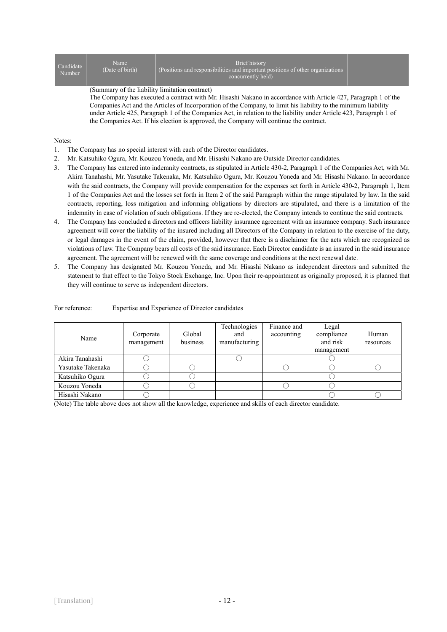| Candidate<br>Number | Name<br>(Date of birth)                                                                                             | <b>Brief</b> history<br>(Positions and responsibilities and important positions of other organizations<br>concurrently held) |  |  |  |  |  |
|---------------------|---------------------------------------------------------------------------------------------------------------------|------------------------------------------------------------------------------------------------------------------------------|--|--|--|--|--|
|                     | (Summary of the liability limitation contract)                                                                      |                                                                                                                              |  |  |  |  |  |
|                     | The Company has executed a contract with Mr. Hisashi Nakano in accordance with Article 427, Paragraph 1 of the      |                                                                                                                              |  |  |  |  |  |
|                     | Companies Act and the Articles of Incorporation of the Company, to limit his liability to the minimum liability     |                                                                                                                              |  |  |  |  |  |
|                     | under Article 425, Paragraph 1 of the Companies Act, in relation to the liability under Article 423, Paragraph 1 of |                                                                                                                              |  |  |  |  |  |
|                     | the Companies Act. If his election is approved, the Company will continue the contract.                             |                                                                                                                              |  |  |  |  |  |

Notes:

- 1. The Company has no special interest with each of the Director candidates.
- 2. Mr. Katsuhiko Ogura, Mr. Kouzou Yoneda, and Mr. Hisashi Nakano are Outside Director candidates.
- 3. The Company has entered into indemnity contracts, as stipulated in Article 430-2, Paragraph 1 of the Companies Act, with Mr. Akira Tanahashi, Mr. Yasutake Takenaka, Mr. Katsuhiko Ogura, Mr. Kouzou Yoneda and Mr. Hisashi Nakano. In accordance with the said contracts, the Company will provide compensation for the expenses set forth in Article 430-2, Paragraph 1, Item 1 of the Companies Act and the losses set forth in Item 2 of the said Paragraph within the range stipulated by law. In the said contracts, reporting, loss mitigation and informing obligations by directors are stipulated, and there is a limitation of the indemnity in case of violation of such obligations. If they are re-elected, the Company intends to continue the said contracts.
- 4. The Company has concluded a directors and officers liability insurance agreement with an insurance company. Such insurance agreement will cover the liability of the insured including all Directors of the Company in relation to the exercise of the duty, or legal damages in the event of the claim, provided, however that there is a disclaimer for the acts which are recognized as violations of law. The Company bears all costs of the said insurance. Each Director candidate is an insured in the said insurance agreement. The agreement will be renewed with the same coverage and conditions at the next renewal date.
- 5. The Company has designated Mr. Kouzou Yoneda, and Mr. Hisashi Nakano as independent directors and submitted the statement to that effect to the Tokyo Stock Exchange, Inc. Upon their re-appointment as originally proposed, it is planned that they will continue to serve as independent directors.

| Name              | Corporate<br>management | Global<br>business | Technologies<br>and<br>manufacturing | Finance and<br>accounting | Legal<br>compliance<br>and risk<br>management | Human<br>resources |
|-------------------|-------------------------|--------------------|--------------------------------------|---------------------------|-----------------------------------------------|--------------------|
| Akira Tanahashi   |                         |                    |                                      |                           |                                               |                    |
| Yasutake Takenaka |                         |                    |                                      |                           |                                               |                    |
| Katsuhiko Ogura   |                         |                    |                                      |                           |                                               |                    |
| Kouzou Yoneda     |                         |                    |                                      |                           |                                               |                    |
| Hisashi Nakano    |                         |                    |                                      |                           |                                               |                    |

For reference: Expertise and Experience of Director candidates

(Note) The table above does not show all the knowledge, experience and skills of each director candidate.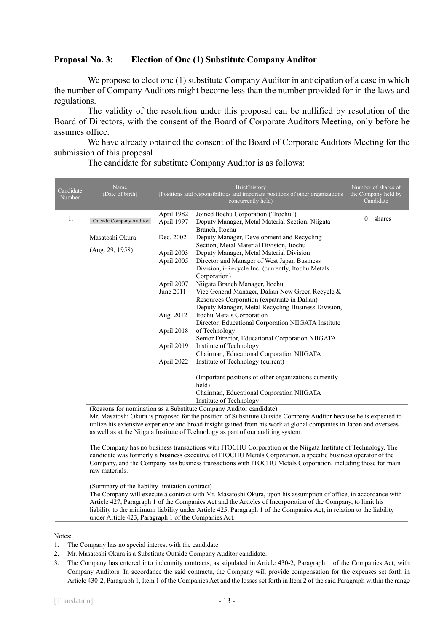### **Proposal No. 3: Election of One (1) Substitute Company Auditor**

We propose to elect one (1) substitute Company Auditor in anticipation of a case in which the number of Company Auditors might become less than the number provided for in the laws and regulations.

 The validity of the resolution under this proposal can be nullified by resolution of the Board of Directors, with the consent of the Board of Corporate Auditors Meeting, only before he assumes office.

 We have already obtained the consent of the Board of Corporate Auditors Meeting for the submission of this proposal.

The candidate for substitute Company Auditor is as follows:

| Candidate<br>Number | Name<br>(Date of birth) | Brief history<br>(Positions and responsibilities and important positions of other organizations<br>concurrently held) |                                                                                                                                                                                                          | Number of shares of<br>the Company held by<br>Candidate |
|---------------------|-------------------------|-----------------------------------------------------------------------------------------------------------------------|----------------------------------------------------------------------------------------------------------------------------------------------------------------------------------------------------------|---------------------------------------------------------|
| 1.                  | Outside Company Auditor | April 1982<br>April 1997                                                                                              | Joined Itochu Corporation ("Itochu")<br>Deputy Manager, Metal Material Section, Niigata<br>Branch, Itochu                                                                                                | $\mathbf{0}$<br>shares                                  |
|                     | Masatoshi Okura         | Dec. 2002                                                                                                             | Deputy Manager, Development and Recycling                                                                                                                                                                |                                                         |
|                     | (Aug. 29, 1958)         | April 2003<br>April 2005                                                                                              | Section, Metal Material Division, Itochu<br>Deputy Manager, Metal Material Division<br>Director and Manager of West Japan Business<br>Division, i-Recycle Inc. (currently, Itochu Metals<br>Corporation) |                                                         |
|                     |                         | April 2007                                                                                                            | Niigata Branch Manager, Itochu                                                                                                                                                                           |                                                         |
|                     |                         | June 2011                                                                                                             | Vice General Manager, Dalian New Green Recycle &<br>Resources Corporation (expatriate in Dalian)<br>Deputy Manager, Metal Recycling Business Division,                                                   |                                                         |
|                     |                         | Aug. 2012                                                                                                             | Itochu Metals Corporation<br>Director, Educational Corporation NIIGATA Institute                                                                                                                         |                                                         |
|                     |                         | April 2018                                                                                                            | of Technology<br>Senior Director, Educational Corporation NIIGATA                                                                                                                                        |                                                         |
|                     |                         | April 2019                                                                                                            | Institute of Technology                                                                                                                                                                                  |                                                         |
|                     |                         | April 2022                                                                                                            | Chairman, Educational Corporation NIIGATA<br>Institute of Technology (current)                                                                                                                           |                                                         |
|                     |                         |                                                                                                                       | (Important positions of other organizations currently<br>held)<br>Chairman, Educational Corporation NIIGATA<br>Institute of Technology                                                                   |                                                         |

(Reasons for nomination as a Substitute Company Auditor candidate)

Mr. Masatoshi Okura is proposed for the position of Substitute Outside Company Auditor because he is expected to utilize his extensive experience and broad insight gained from his work at global companies in Japan and overseas as well as at the Niigata Institute of Technology as part of our auditing system.

The Company has no business transactions with ITOCHU Corporation or the Niigata Institute of Technology. The candidate was formerly a business executive of ITOCHU Metals Corporation, a specific business operator of the Company, and the Company has business transactions with ITOCHU Metals Corporation, including those for main raw materials.

#### (Summary of the liability limitation contract)

The Company will execute a contract with Mr. Masatoshi Okura, upon his assumption of office, in accordance with Article 427, Paragraph 1 of the Companies Act and the Articles of Incorporation of the Company, to limit his liability to the minimum liability under Article 425, Paragraph 1 of the Companies Act, in relation to the liability under Article 423, Paragraph 1 of the Companies Act.

### Notes:

- 1. The Company has no special interest with the candidate.
- 2. Mr. Masatoshi Okura is a Substitute Outside Company Auditor candidate.
- 3. The Company has entered into indemnity contracts, as stipulated in Article 430-2, Paragraph 1 of the Companies Act, with Company Auditors. In accordance the said contracts, the Company will provide compensation for the expenses set forth in Article 430-2, Paragraph 1, Item 1 of the Companies Act and the losses set forth in Item 2 of the said Paragraph within the range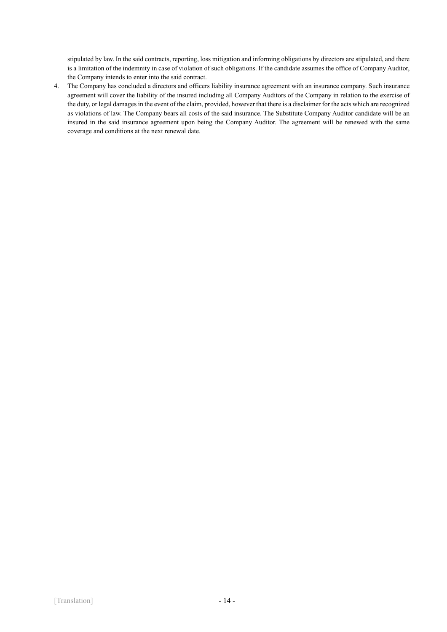stipulated by law. In the said contracts, reporting, loss mitigation and informing obligations by directors are stipulated, and there is a limitation of the indemnity in case of violation of such obligations. If the candidate assumes the office of Company Auditor, the Company intends to enter into the said contract.

4. The Company has concluded a directors and officers liability insurance agreement with an insurance company. Such insurance agreement will cover the liability of the insured including all Company Auditors of the Company in relation to the exercise of the duty, or legal damages in the event of the claim, provided, however that there is a disclaimer for the acts which are recognized as violations of law. The Company bears all costs of the said insurance. The Substitute Company Auditor candidate will be an insured in the said insurance agreement upon being the Company Auditor. The agreement will be renewed with the same coverage and conditions at the next renewal date.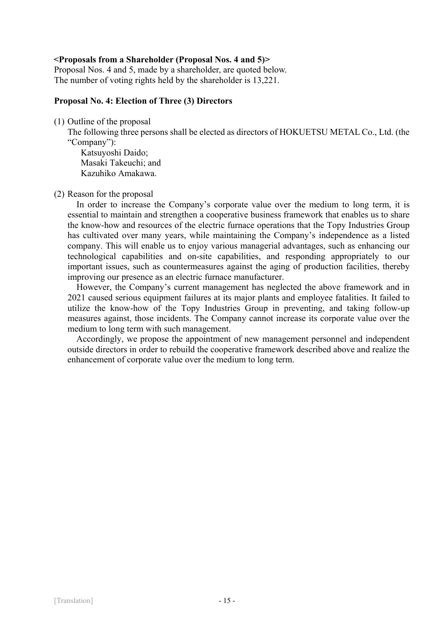# **<Proposals from a Shareholder (Proposal Nos. 4 and 5)>**

Proposal Nos. 4 and 5, made by a shareholder, are quoted below. The number of voting rights held by the shareholder is 13,221.

# **Proposal No. 4: Election of Three (3) Directors**

(1) Outline of the proposal

The following three persons shall be elected as directors of HOKUETSU METAL Co., Ltd. (the "Company"):

Katsuyoshi Daido; Masaki Takeuchi; and Kazuhiko Amakawa.

(2) Reason for the proposal

 In order to increase the Company's corporate value over the medium to long term, it is essential to maintain and strengthen a cooperative business framework that enables us to share the know-how and resources of the electric furnace operations that the Topy Industries Group has cultivated over many years, while maintaining the Company's independence as a listed company. This will enable us to enjoy various managerial advantages, such as enhancing our technological capabilities and on-site capabilities, and responding appropriately to our important issues, such as countermeasures against the aging of production facilities, thereby improving our presence as an electric furnace manufacturer.

 However, the Company's current management has neglected the above framework and in 2021 caused serious equipment failures at its major plants and employee fatalities. It failed to utilize the know-how of the Topy Industries Group in preventing, and taking follow-up measures against, those incidents. The Company cannot increase its corporate value over the medium to long term with such management.

 Accordingly, we propose the appointment of new management personnel and independent outside directors in order to rebuild the cooperative framework described above and realize the enhancement of corporate value over the medium to long term.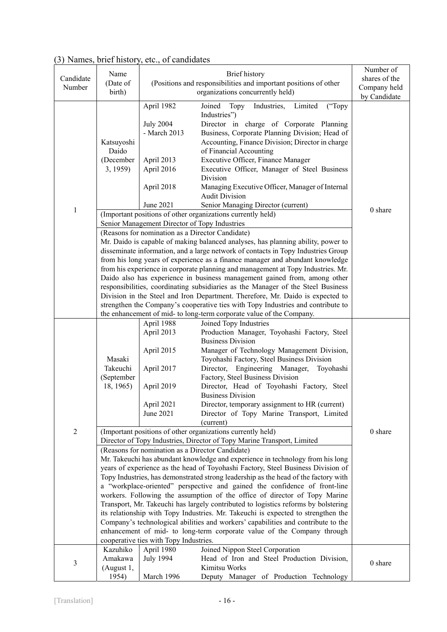#### Candidate Number Name (Date of birth) Brief history (Positions and responsibilities and important positions of other organizations concurrently held) Number of shares of the Company held by Candidate 1 Katsuyoshi Daido (December 3, 1959) April 1982 July 2004 - March 2013 April 2013 April 2016 April 2018 June 2021 Joined Topy Industries, Limited ("Topy Industries") Director in charge of Corporate Planning Business, Corporate Planning Division; Head of Accounting, Finance Division; Director in charge of Financial Accounting Executive Officer, Finance Manager Executive Officer, Manager of Steel Business Division Managing Executive Officer, Manager of Internal Audit Division I June 2021 Senior Managing Director (current) 0 share (Important positions of other organizations currently held) Senior Management Director of Topy Industries (Reasons for nomination as a Director Candidate) Mr. Daido is capable of making balanced analyses, has planning ability, power to disseminate information, and a large network of contacts in Topy Industries Group from his long years of experience as a finance manager and abundant knowledge from his experience in corporate planning and management at Topy Industries. Mr. Daido also has experience in business management gained from, among other responsibilities, coordinating subsidiaries as the Manager of the Steel Business Division in the Steel and Iron Department. Therefore, Mr. Daido is expected to strengthen the Company's cooperative ties with Topy Industries and contribute to the enhancement of mid- to long-term corporate value of the Company. 2 Masaki Takeuchi (September 18, 1965) April 1988 April 2013 April 2015 April 2017 April 2019 April 2021 June 2021 Joined Topy Industries Production Manager, Toyohashi Factory, Steel Business Division Manager of Technology Management Division, Toyohashi Factory, Steel Business Division Director, Engineering Manager, Toyohashi Factory, Steel Business Division Director, Head of Toyohashi Factory, Steel Business Division Director, temporary assignment to HR (current) Director of Topy Marine Transport, Limited (current) (Important positions of other organizations currently held) 0 share Director of Topy Industries, Director of Topy Marine Transport, Limited (Reasons for nomination as a Director Candidate) Mr. Takeuchi has abundant knowledge and experience in technology from his long years of experience as the head of Toyohashi Factory, Steel Business Division of Topy Industries, has demonstrated strong leadership as the head of the factory with a "workplace-oriented" perspective and gained the confidence of front-line workers. Following the assumption of the office of director of Topy Marine Transport, Mr. Takeuchi has largely contributed to logistics reforms by bolstering its relationship with Topy Industries. Mr. Takeuchi is expected to strengthen the Company's technological abilities and workers' capabilities and contribute to the enhancement of mid- to long-term corporate value of the Company through cooperative ties with Topy Industries. 3 Kazuhiko Amakawa (August 1, 1954) April 1980 July 1994 March 1996 Joined Nippon Steel Corporation Head of Iron and Steel Production Division, Kimitsu Works Deputy Manager of Production Technology 0 share

# (3) Names, brief history, etc., of candidates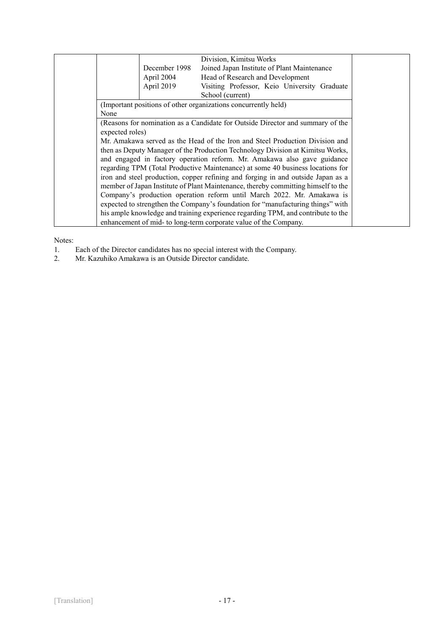|                 |                                                                                   | Division, Kimitsu Works                                                          |  |  |  |
|-----------------|-----------------------------------------------------------------------------------|----------------------------------------------------------------------------------|--|--|--|
|                 | December 1998                                                                     | Joined Japan Institute of Plant Maintenance                                      |  |  |  |
|                 | April 2004                                                                        | Head of Research and Development                                                 |  |  |  |
|                 |                                                                                   |                                                                                  |  |  |  |
|                 | April 2019                                                                        | Visiting Professor, Keio University Graduate                                     |  |  |  |
|                 |                                                                                   | School (current)                                                                 |  |  |  |
|                 | (Important positions of other organizations concurrently held)                    |                                                                                  |  |  |  |
| None            |                                                                                   |                                                                                  |  |  |  |
|                 | (Reasons for nomination as a Candidate for Outside Director and summary of the    |                                                                                  |  |  |  |
| expected roles) |                                                                                   |                                                                                  |  |  |  |
|                 | Mr. Amakawa served as the Head of the Iron and Steel Production Division and      |                                                                                  |  |  |  |
|                 |                                                                                   | then as Deputy Manager of the Production Technology Division at Kimitsu Works,   |  |  |  |
|                 |                                                                                   | and engaged in factory operation reform. Mr. Amakawa also gave guidance          |  |  |  |
|                 | regarding TPM (Total Productive Maintenance) at some 40 business locations for    |                                                                                  |  |  |  |
|                 | iron and steel production, copper refining and forging in and outside Japan as a  |                                                                                  |  |  |  |
|                 | member of Japan Institute of Plant Maintenance, thereby committing himself to the |                                                                                  |  |  |  |
|                 | Company's production operation reform until March 2022. Mr. Amakawa is            |                                                                                  |  |  |  |
|                 | expected to strengthen the Company's foundation for "manufacturing things" with   |                                                                                  |  |  |  |
|                 |                                                                                   | his ample knowledge and training experience regarding TPM, and contribute to the |  |  |  |
|                 |                                                                                   | enhancement of mid- to long-term corporate value of the Company.                 |  |  |  |

Notes:

1. Each of the Director candidates has no special interest with the Company.

2. Mr. Kazuhiko Amakawa is an Outside Director candidate.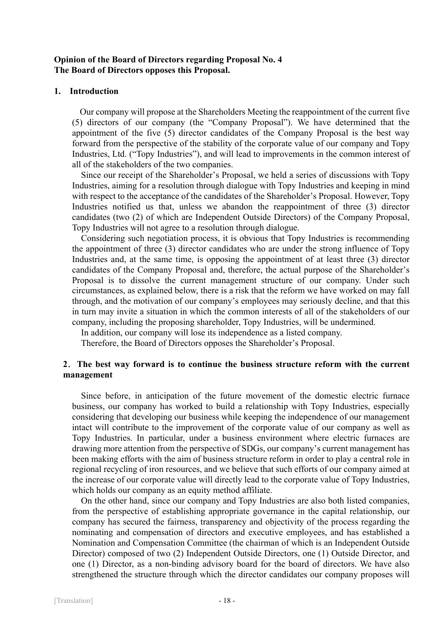# **Opinion of the Board of Directors regarding Proposal No. 4 The Board of Directors opposes this Proposal.**

### **1. Introduction**

Our company will propose at the Shareholders Meeting the reappointment of the current five (5) directors of our company (the "Company Proposal"). We have determined that the appointment of the five (5) director candidates of the Company Proposal is the best way forward from the perspective of the stability of the corporate value of our company and Topy Industries, Ltd. ("Topy Industries"), and will lead to improvements in the common interest of all of the stakeholders of the two companies.

Since our receipt of the Shareholder's Proposal, we held a series of discussions with Topy Industries, aiming for a resolution through dialogue with Topy Industries and keeping in mind with respect to the acceptance of the candidates of the Shareholder's Proposal. However, Topy Industries notified us that, unless we abandon the reappointment of three (3) director candidates (two (2) of which are Independent Outside Directors) of the Company Proposal, Topy Industries will not agree to a resolution through dialogue.

Considering such negotiation process, it is obvious that Topy Industries is recommending the appointment of three (3) director candidates who are under the strong influence of Topy Industries and, at the same time, is opposing the appointment of at least three (3) director candidates of the Company Proposal and, therefore, the actual purpose of the Shareholder's Proposal is to dissolve the current management structure of our company. Under such circumstances, as explained below, there is a risk that the reform we have worked on may fall through, and the motivation of our company's employees may seriously decline, and that this in turn may invite a situation in which the common interests of all of the stakeholders of our company, including the proposing shareholder, Topy Industries, will be undermined.

In addition, our company will lose its independence as a listed company.

Therefore, the Board of Directors opposes the Shareholder's Proposal.

# **2**.**The best way forward is to continue the business structure reform with the current management**

Since before, in anticipation of the future movement of the domestic electric furnace business, our company has worked to build a relationship with Topy Industries, especially considering that developing our business while keeping the independence of our management intact will contribute to the improvement of the corporate value of our company as well as Topy Industries. In particular, under a business environment where electric furnaces are drawing more attention from the perspective of SDGs, our company's current management has been making efforts with the aim of business structure reform in order to play a central role in regional recycling of iron resources, and we believe that such efforts of our company aimed at the increase of our corporate value will directly lead to the corporate value of Topy Industries, which holds our company as an equity method affiliate.

On the other hand, since our company and Topy Industries are also both listed companies, from the perspective of establishing appropriate governance in the capital relationship, our company has secured the fairness, transparency and objectivity of the process regarding the nominating and compensation of directors and executive employees, and has established a Nomination and Compensation Committee (the chairman of which is an Independent Outside Director) composed of two (2) Independent Outside Directors, one (1) Outside Director, and one (1) Director, as a non-binding advisory board for the board of directors. We have also strengthened the structure through which the director candidates our company proposes will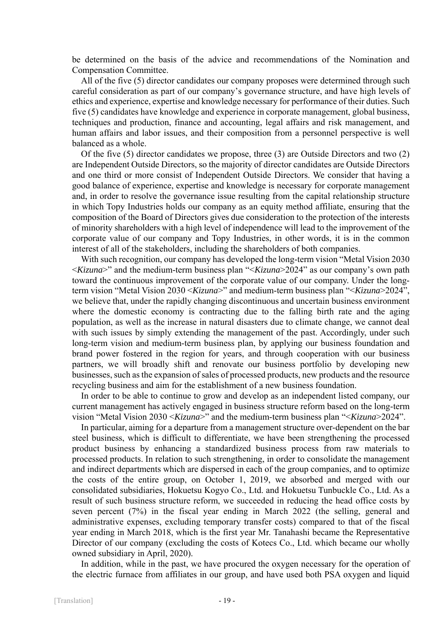be determined on the basis of the advice and recommendations of the Nomination and Compensation Committee.

All of the five (5) director candidates our company proposes were determined through such careful consideration as part of our company's governance structure, and have high levels of ethics and experience, expertise and knowledge necessary for performance of their duties. Such five (5) candidates have knowledge and experience in corporate management, global business, techniques and production, finance and accounting, legal affairs and risk management, and human affairs and labor issues, and their composition from a personnel perspective is well balanced as a whole.

Of the five (5) director candidates we propose, three (3) are Outside Directors and two (2) are Independent Outside Directors, so the majority of director candidates are Outside Directors and one third or more consist of Independent Outside Directors. We consider that having a good balance of experience, expertise and knowledge is necessary for corporate management and, in order to resolve the governance issue resulting from the capital relationship structure in which Topy Industries holds our company as an equity method affiliate, ensuring that the composition of the Board of Directors gives due consideration to the protection of the interests of minority shareholders with a high level of independence will lead to the improvement of the corporate value of our company and Topy Industries, in other words, it is in the common interest of all of the stakeholders, including the shareholders of both companies.

With such recognition, our company has developed the long-term vision "Metal Vision 2030 <*Kizuna*>" and the medium-term business plan "<*Kizuna*>2024" as our company's own path toward the continuous improvement of the corporate value of our company. Under the longterm vision "Metal Vision 2030 <*Kizuna*>" and medium-term business plan "<*Kizuna*>2024", we believe that, under the rapidly changing discontinuous and uncertain business environment where the domestic economy is contracting due to the falling birth rate and the aging population, as well as the increase in natural disasters due to climate change, we cannot deal with such issues by simply extending the management of the past. Accordingly, under such long-term vision and medium-term business plan, by applying our business foundation and brand power fostered in the region for years, and through cooperation with our business partners, we will broadly shift and renovate our business portfolio by developing new businesses, such as the expansion of sales of processed products, new products and the resource recycling business and aim for the establishment of a new business foundation.

In order to be able to continue to grow and develop as an independent listed company, our current management has actively engaged in business structure reform based on the long-term vision "Metal Vision 2030 <*Kizuna*>" and the medium-term business plan "<*Kizuna*>2024".

In particular, aiming for a departure from a management structure over-dependent on the bar steel business, which is difficult to differentiate, we have been strengthening the processed product business by enhancing a standardized business process from raw materials to processed products. In relation to such strengthening, in order to consolidate the management and indirect departments which are dispersed in each of the group companies, and to optimize the costs of the entire group, on October 1, 2019, we absorbed and merged with our consolidated subsidiaries, Hokuetsu Kogyo Co., Ltd. and Hokuetsu Tunbuckle Co., Ltd. As a result of such business structure reform, we succeeded in reducing the head office costs by seven percent (7%) in the fiscal year ending in March 2022 (the selling, general and administrative expenses, excluding temporary transfer costs) compared to that of the fiscal year ending in March 2018, which is the first year Mr. Tanahashi became the Representative Director of our company (excluding the costs of Kotecs Co., Ltd. which became our wholly owned subsidiary in April, 2020).

In addition, while in the past, we have procured the oxygen necessary for the operation of the electric furnace from affiliates in our group, and have used both PSA oxygen and liquid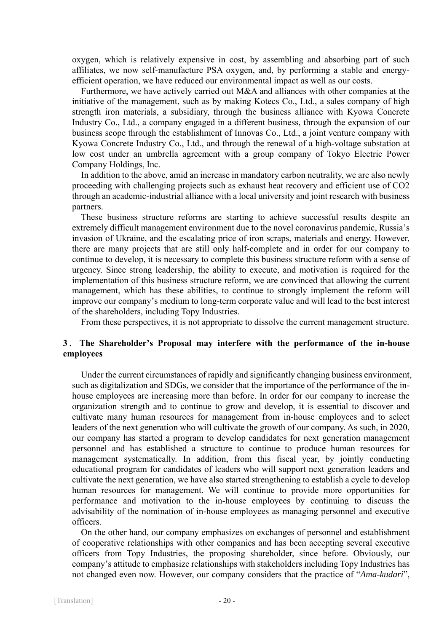oxygen, which is relatively expensive in cost, by assembling and absorbing part of such affiliates, we now self-manufacture PSA oxygen, and, by performing a stable and energyefficient operation, we have reduced our environmental impact as well as our costs.

Furthermore, we have actively carried out M&A and alliances with other companies at the initiative of the management, such as by making Kotecs Co., Ltd., a sales company of high strength iron materials, a subsidiary, through the business alliance with Kyowa Concrete Industry Co., Ltd., a company engaged in a different business, through the expansion of our business scope through the establishment of Innovas Co., Ltd., a joint venture company with Kyowa Concrete Industry Co., Ltd., and through the renewal of a high-voltage substation at low cost under an umbrella agreement with a group company of Tokyo Electric Power Company Holdings, Inc.

In addition to the above, amid an increase in mandatory carbon neutrality, we are also newly proceeding with challenging projects such as exhaust heat recovery and efficient use of CO2 through an academic-industrial alliance with a local university and joint research with business partners.

These business structure reforms are starting to achieve successful results despite an extremely difficult management environment due to the novel coronavirus pandemic, Russia's invasion of Ukraine, and the escalating price of iron scraps, materials and energy. However, there are many projects that are still only half-complete and in order for our company to continue to develop, it is necessary to complete this business structure reform with a sense of urgency. Since strong leadership, the ability to execute, and motivation is required for the implementation of this business structure reform, we are convinced that allowing the current management, which has these abilities, to continue to strongly implement the reform will improve our company's medium to long-term corporate value and will lead to the best interest of the shareholders, including Topy Industries.

From these perspectives, it is not appropriate to dissolve the current management structure.

# **3**.**The Shareholder's Proposal may interfere with the performance of the in-house employees**

Under the current circumstances of rapidly and significantly changing business environment, such as digitalization and SDGs, we consider that the importance of the performance of the inhouse employees are increasing more than before. In order for our company to increase the organization strength and to continue to grow and develop, it is essential to discover and cultivate many human resources for management from in-house employees and to select leaders of the next generation who will cultivate the growth of our company. As such, in 2020, our company has started a program to develop candidates for next generation management personnel and has established a structure to continue to produce human resources for management systematically. In addition, from this fiscal year, by jointly conducting educational program for candidates of leaders who will support next generation leaders and cultivate the next generation, we have also started strengthening to establish a cycle to develop human resources for management. We will continue to provide more opportunities for performance and motivation to the in-house employees by continuing to discuss the advisability of the nomination of in-house employees as managing personnel and executive officers.

On the other hand, our company emphasizes on exchanges of personnel and establishment of cooperative relationships with other companies and has been accepting several executive officers from Topy Industries, the proposing shareholder, since before. Obviously, our company's attitude to emphasize relationships with stakeholders including Topy Industries has not changed even now. However, our company considers that the practice of "*Ama-kudari*",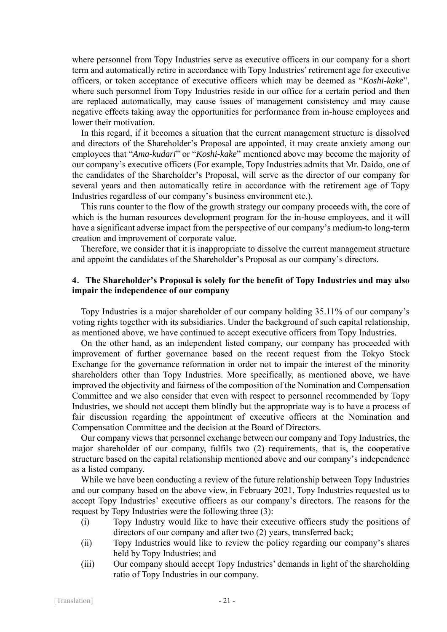where personnel from Topy Industries serve as executive officers in our company for a short term and automatically retire in accordance with Topy Industries' retirement age for executive officers, or token acceptance of executive officers which may be deemed as "*Koshi-kake*", where such personnel from Topy Industries reside in our office for a certain period and then are replaced automatically, may cause issues of management consistency and may cause negative effects taking away the opportunities for performance from in-house employees and lower their motivation.

In this regard, if it becomes a situation that the current management structure is dissolved and directors of the Shareholder's Proposal are appointed, it may create anxiety among our employees that "*Ama-kudari*" or "*Koshi-kake*" mentioned above may become the majority of our company's executive officers (For example, Topy Industries admits that Mr. Daido, one of the candidates of the Shareholder's Proposal, will serve as the director of our company for several years and then automatically retire in accordance with the retirement age of Topy Industries regardless of our company's business environment etc.).

This runs counter to the flow of the growth strategy our company proceeds with, the core of which is the human resources development program for the in-house employees, and it will have a significant adverse impact from the perspective of our company's medium-to long-term creation and improvement of corporate value.

Therefore, we consider that it is inappropriate to dissolve the current management structure and appoint the candidates of the Shareholder's Proposal as our company's directors.

# **4**.**The Shareholder's Proposal is solely for the benefit of Topy Industries and may also impair the independence of our company**

Topy Industries is a major shareholder of our company holding 35.11% of our company's voting rights together with its subsidiaries. Under the background of such capital relationship, as mentioned above, we have continued to accept executive officers from Topy Industries.

On the other hand, as an independent listed company, our company has proceeded with improvement of further governance based on the recent request from the Tokyo Stock Exchange for the governance reformation in order not to impair the interest of the minority shareholders other than Topy Industries. More specifically, as mentioned above, we have improved the objectivity and fairness of the composition of the Nomination and Compensation Committee and we also consider that even with respect to personnel recommended by Topy Industries, we should not accept them blindly but the appropriate way is to have a process of fair discussion regarding the appointment of executive officers at the Nomination and Compensation Committee and the decision at the Board of Directors.

Our company views that personnel exchange between our company and Topy Industries, the major shareholder of our company, fulfils two (2) requirements, that is, the cooperative structure based on the capital relationship mentioned above and our company's independence as a listed company.

While we have been conducting a review of the future relationship between Topy Industries and our company based on the above view, in February 2021, Topy Industries requested us to accept Topy Industries' executive officers as our company's directors. The reasons for the request by Topy Industries were the following three (3):

- (i) Topy Industry would like to have their executive officers study the positions of directors of our company and after two (2) years, transferred back;
- (ii) Topy Industries would like to review the policy regarding our company's shares held by Topy Industries; and
- (iii) Our company should accept Topy Industries' demands in light of the shareholding ratio of Topy Industries in our company.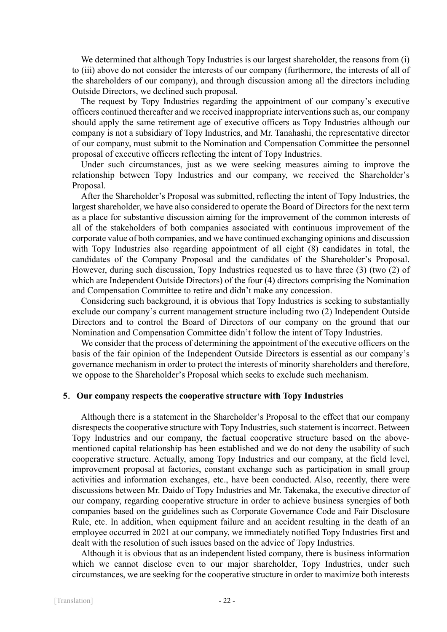We determined that although Topy Industries is our largest shareholder, the reasons from (i) to (iii) above do not consider the interests of our company (furthermore, the interests of all of the shareholders of our company), and through discussion among all the directors including Outside Directors, we declined such proposal.

The request by Topy Industries regarding the appointment of our company's executive officers continued thereafter and we received inappropriate interventions such as, our company should apply the same retirement age of executive officers as Topy Industries although our company is not a subsidiary of Topy Industries, and Mr. Tanahashi, the representative director of our company, must submit to the Nomination and Compensation Committee the personnel proposal of executive officers reflecting the intent of Topy Industries.

Under such circumstances, just as we were seeking measures aiming to improve the relationship between Topy Industries and our company, we received the Shareholder's Proposal.

After the Shareholder's Proposal was submitted, reflecting the intent of Topy Industries, the largest shareholder, we have also considered to operate the Board of Directors for the next term as a place for substantive discussion aiming for the improvement of the common interests of all of the stakeholders of both companies associated with continuous improvement of the corporate value of both companies, and we have continued exchanging opinions and discussion with Topy Industries also regarding appointment of all eight (8) candidates in total, the candidates of the Company Proposal and the candidates of the Shareholder's Proposal. However, during such discussion, Topy Industries requested us to have three (3) (two (2) of which are Independent Outside Directors) of the four (4) directors comprising the Nomination and Compensation Committee to retire and didn't make any concession.

Considering such background, it is obvious that Topy Industries is seeking to substantially exclude our company's current management structure including two (2) Independent Outside Directors and to control the Board of Directors of our company on the ground that our Nomination and Compensation Committee didn't follow the intent of Topy Industries.

We consider that the process of determining the appointment of the executive officers on the basis of the fair opinion of the Independent Outside Directors is essential as our company's governance mechanism in order to protect the interests of minority shareholders and therefore, we oppose to the Shareholder's Proposal which seeks to exclude such mechanism.

### **5**.**Our company respects the cooperative structure with Topy Industries**

Although there is a statement in the Shareholder's Proposal to the effect that our company disrespects the cooperative structure with Topy Industries, such statement is incorrect. Between Topy Industries and our company, the factual cooperative structure based on the abovementioned capital relationship has been established and we do not deny the usability of such cooperative structure. Actually, among Topy Industries and our company, at the field level, improvement proposal at factories, constant exchange such as participation in small group activities and information exchanges, etc., have been conducted. Also, recently, there were discussions between Mr. Daido of Topy Industries and Mr. Takenaka, the executive director of our company, regarding cooperative structure in order to achieve business synergies of both companies based on the guidelines such as Corporate Governance Code and Fair Disclosure Rule, etc. In addition, when equipment failure and an accident resulting in the death of an employee occurred in 2021 at our company, we immediately notified Topy Industries first and dealt with the resolution of such issues based on the advice of Topy Industries.

Although it is obvious that as an independent listed company, there is business information which we cannot disclose even to our major shareholder, Topy Industries, under such circumstances, we are seeking for the cooperative structure in order to maximize both interests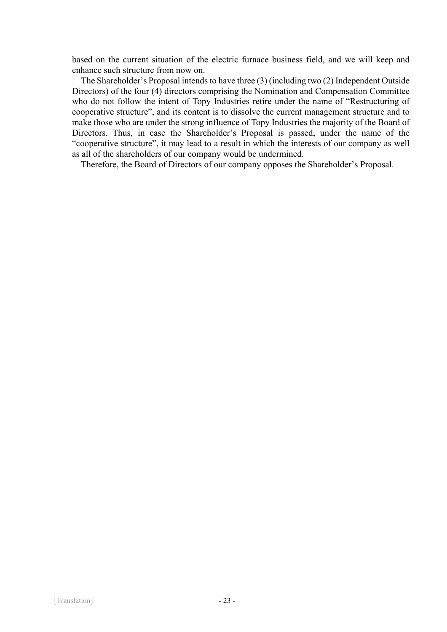based on the current situation of the electric furnace business field, and we will keep and enhance such structure from now on.

The Shareholder's Proposal intends to have three (3) (including two (2) Independent Outside Directors) of the four (4) directors comprising the Nomination and Compensation Committee who do not follow the intent of Topy Industries retire under the name of "Restructuring of cooperative structure", and its content is to dissolve the current management structure and to make those who are under the strong influence of Topy Industries the majority of the Board of Directors. Thus, in case the Shareholder's Proposal is passed, under the name of the "cooperative structure", it may lead to a result in which the interests of our company as well as all of the shareholders of our company would be undermined.

Therefore, the Board of Directors of our company opposes the Shareholder's Proposal.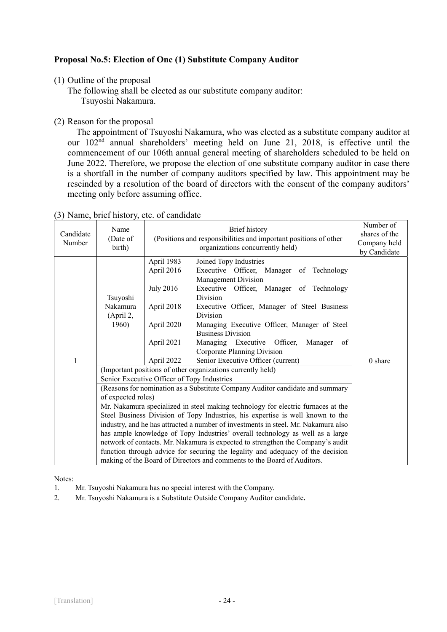# **Proposal No.5: Election of One (1) Substitute Company Auditor**

## (1) Outline of the proposal

The following shall be elected as our substitute company auditor: Tsuyoshi Nakamura.

# (2) Reason for the proposal

 The appointment of Tsuyoshi Nakamura, who was elected as a substitute company auditor at our 102nd annual shareholders' meeting held on June 21, 2018, is effective until the commencement of our 106th annual general meeting of shareholders scheduled to be held on June 2022. Therefore, we propose the election of one substitute company auditor in case there is a shortfall in the number of company auditors specified by law. This appointment may be rescinded by a resolution of the board of directors with the consent of the company auditors' meeting only before assuming office.

| Candidate<br>Number | Name<br>(Date of<br>birth)                                       | (Positions and responsibilities and important positions of other                                                                                    | Number of<br>shares of the<br>Company held<br>by Candidate                                                                                                                                                                                                                                                                                                                                                                                                                                                                                                                                                                                                                                                                                                                                                                                                                                                                                                                                                                                                                                                                                                                |         |
|---------------------|------------------------------------------------------------------|-----------------------------------------------------------------------------------------------------------------------------------------------------|---------------------------------------------------------------------------------------------------------------------------------------------------------------------------------------------------------------------------------------------------------------------------------------------------------------------------------------------------------------------------------------------------------------------------------------------------------------------------------------------------------------------------------------------------------------------------------------------------------------------------------------------------------------------------------------------------------------------------------------------------------------------------------------------------------------------------------------------------------------------------------------------------------------------------------------------------------------------------------------------------------------------------------------------------------------------------------------------------------------------------------------------------------------------------|---------|
| $\mathbf{1}$        | Tsuyoshi<br>Nakamura<br>(April 2,<br>1960)<br>of expected roles) | April 1983<br>April 2016<br><b>July 2016</b><br>April 2018<br>April 2020<br>April 2021<br>April 2022<br>Senior Executive Officer of Topy Industries | Joined Topy Industries<br>Executive Officer, Manager of Technology<br><b>Management Division</b><br>Executive Officer, Manager of Technology<br><b>Division</b><br>Executive Officer, Manager of Steel Business<br>Division<br>Managing Executive Officer, Manager of Steel<br><b>Business Division</b><br>Managing Executive Officer,<br>Manager<br>of<br>Corporate Planning Division<br>Senior Executive Officer (current)<br>(Important positions of other organizations currently held)<br>(Reasons for nomination as a Substitute Company Auditor candidate and summary<br>Mr. Nakamura specialized in steel making technology for electric furnaces at the<br>Steel Business Division of Topy Industries, his expertise is well known to the<br>industry, and he has attracted a number of investments in steel. Mr. Nakamura also<br>has ample knowledge of Topy Industries' overall technology as well as a large<br>network of contacts. Mr. Nakamura is expected to strengthen the Company's audit<br>function through advice for securing the legality and adequacy of the decision<br>making of the Board of Directors and comments to the Board of Auditors. | 0 share |

# (3) Name, brief history, etc. of candidate

Notes:

- 1. Mr. Tsuyoshi Nakamura has no special interest with the Company.
- 2. Mr. Tsuyoshi Nakamura is a Substitute Outside Company Auditor candidate.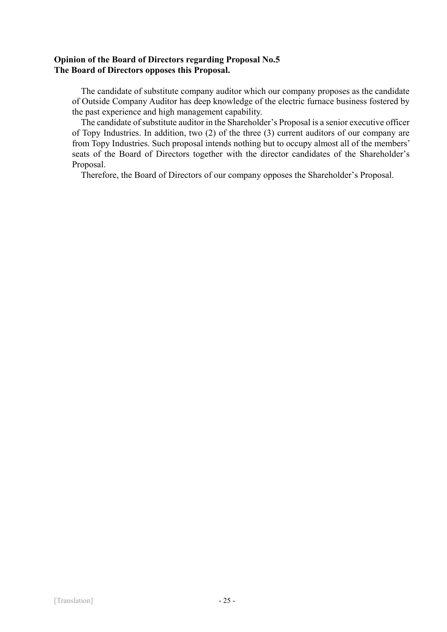# **Opinion of the Board of Directors regarding Proposal No.5 The Board of Directors opposes this Proposal.**

The candidate of substitute company auditor which our company proposes as the candidate of Outside Company Auditor has deep knowledge of the electric furnace business fostered by the past experience and high management capability.

The candidate of substitute auditor in the Shareholder's Proposal is a senior executive officer of Topy Industries. In addition, two (2) of the three (3) current auditors of our company are from Topy Industries. Such proposal intends nothing but to occupy almost all of the members' seats of the Board of Directors together with the director candidates of the Shareholder's Proposal.

Therefore, the Board of Directors of our company opposes the Shareholder's Proposal.